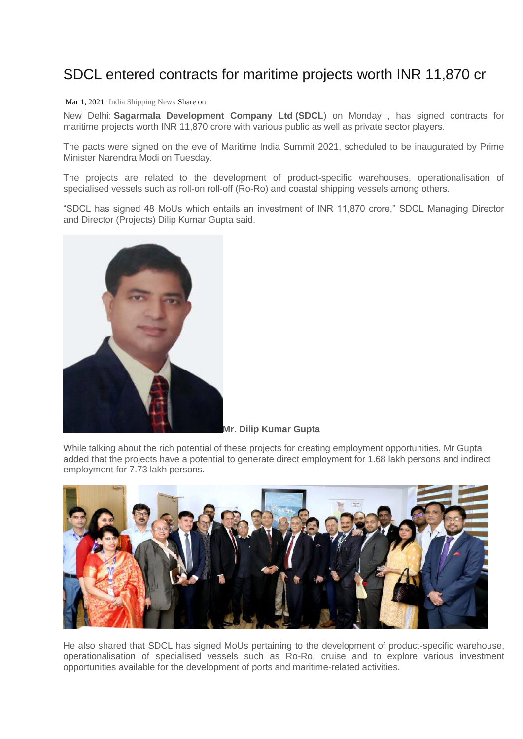## SDCL entered contracts for maritime projects worth INR 11,870 cr

## Mar 1, 2021 [India Shipping News](https://indiashippingnews.com/author/admin/) Share on

New Delhi: **Sagarmala Development Company Ltd (SDCL**) on Monday , has signed contracts for maritime projects worth INR 11,870 crore with various public as well as private sector players.

The pacts were signed on the eve of Maritime India Summit 2021, scheduled to be inaugurated by Prime Minister Narendra Modi on Tuesday.

The projects are related to the development of product-specific warehouses, operationalisation of specialised vessels such as roll-on roll-off (Ro-Ro) and coastal shipping vessels among others.

"SDCL has signed 48 MoUs which entails an investment of INR 11,870 crore," SDCL Managing Director and Director (Projects) Dilip Kumar Gupta said.



**Mr. Dilip Kumar Gupta**

While talking about the rich potential of these projects for creating employment opportunities, Mr Gupta added that the projects have a potential to generate direct employment for 1.68 lakh persons and indirect employment for 7.73 lakh persons.



He also shared that SDCL has signed MoUs pertaining to the development of product-specific warehouse, operationalisation of specialised vessels such as Ro-Ro, cruise and to explore various investment opportunities available for the development of ports and maritime-related activities.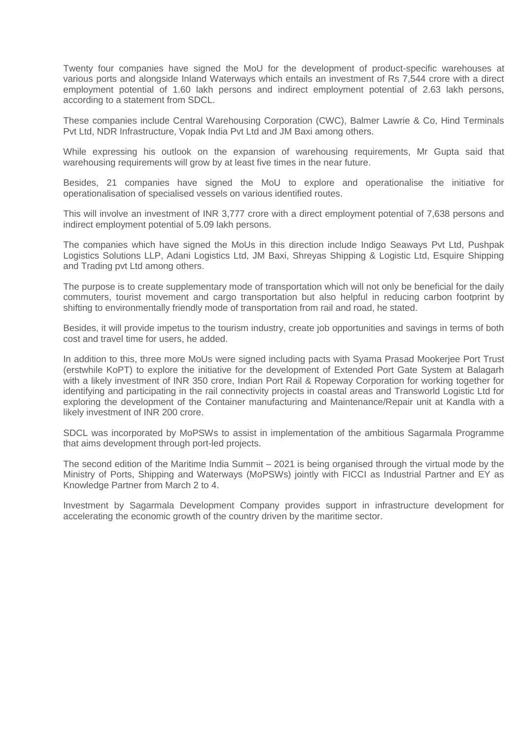Twenty four companies have signed the MoU for the development of product-specific warehouses at various ports and alongside Inland Waterways which entails an investment of Rs 7,544 crore with a direct employment potential of 1.60 lakh persons and indirect employment potential of 2.63 lakh persons, according to a statement from SDCL.

These companies include Central Warehousing Corporation (CWC), Balmer Lawrie & Co, Hind Terminals Pvt Ltd, NDR Infrastructure, Vopak India Pvt Ltd and JM Baxi among others.

While expressing his outlook on the expansion of warehousing requirements, Mr Gupta said that warehousing requirements will grow by at least five times in the near future.

Besides, 21 companies have signed the MoU to explore and operationalise the initiative for operationalisation of specialised vessels on various identified routes.

This will involve an investment of INR 3,777 crore with a direct employment potential of 7,638 persons and indirect employment potential of 5.09 lakh persons.

The companies which have signed the MoUs in this direction include Indigo Seaways Pvt Ltd, Pushpak Logistics Solutions LLP, Adani Logistics Ltd, JM Baxi, Shreyas Shipping & Logistic Ltd, Esquire Shipping and Trading pvt Ltd among others.

The purpose is to create supplementary mode of transportation which will not only be beneficial for the daily commuters, tourist movement and cargo transportation but also helpful in reducing carbon footprint by shifting to environmentally friendly mode of transportation from rail and road, he stated.

Besides, it will provide impetus to the tourism industry, create job opportunities and savings in terms of both cost and travel time for users, he added.

In addition to this, three more MoUs were signed including pacts with Syama Prasad Mookerjee Port Trust (erstwhile KoPT) to explore the initiative for the development of Extended Port Gate System at Balagarh with a likely investment of INR 350 crore, Indian Port Rail & Ropeway Corporation for working together for identifying and participating in the rail connectivity projects in coastal areas and Transworld Logistic Ltd for exploring the development of the Container manufacturing and Maintenance/Repair unit at Kandla with a likely investment of INR 200 crore.

SDCL was incorporated by MoPSWs to assist in implementation of the ambitious Sagarmala Programme that aims development through port-led projects.

The second edition of the Maritime India Summit – 2021 is being organised through the virtual mode by the Ministry of Ports, Shipping and Waterways (MoPSWs) jointly with FICCI as Industrial Partner and EY as Knowledge Partner from March 2 to 4.

Investment by Sagarmala Development Company provides support in infrastructure development for accelerating the economic growth of the country driven by the maritime sector.